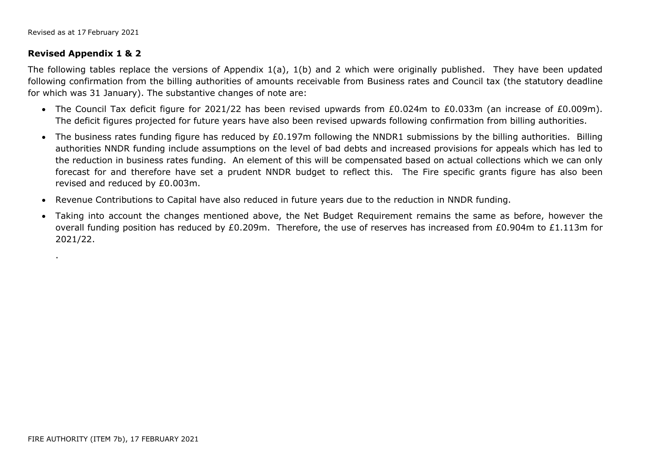## **Revised Appendix 1 & 2**

.

The following tables replace the versions of Appendix 1(a), 1(b) and 2 which were originally published. They have been updated following confirmation from the billing authorities of amounts receivable from Business rates and Council tax (the statutory deadline for which was 31 January). The substantive changes of note are:

- The Council Tax deficit figure for 2021/22 has been revised upwards from £0.024m to £0.033m (an increase of £0.009m). The deficit figures projected for future years have also been revised upwards following confirmation from billing authorities.
- The business rates funding figure has reduced by £0.197m following the NNDR1 submissions by the billing authorities. Billing authorities NNDR funding include assumptions on the level of bad debts and increased provisions for appeals which has led to the reduction in business rates funding. An element of this will be compensated based on actual collections which we can only forecast for and therefore have set a prudent NNDR budget to reflect this. The Fire specific grants figure has also been revised and reduced by £0.003m.
- Revenue Contributions to Capital have also reduced in future years due to the reduction in NNDR funding.
- Taking into account the changes mentioned above, the Net Budget Requirement remains the same as before, however the overall funding position has reduced by £0.209m. Therefore, the use of reserves has increased from £0.904m to £1.113m for 2021/22.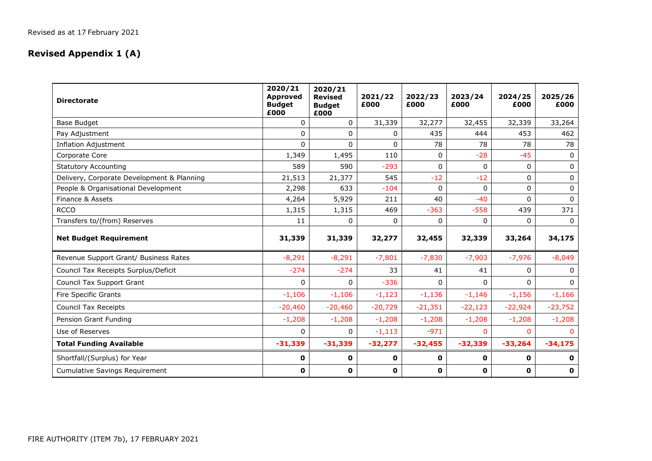## **Revised Appendix 1 (A)**

| <b>Directorate</b>                         | 2020/21<br><b>Approved</b><br><b>Budget</b><br>£000 | 2020/21<br><b>Revised</b><br><b>Budget</b><br>£000 | 2021/22<br>£000 | 2022/23<br>£000 | 2023/24<br>£000 | 2024/25<br>£000 | 2025/26<br>£000 |
|--------------------------------------------|-----------------------------------------------------|----------------------------------------------------|-----------------|-----------------|-----------------|-----------------|-----------------|
| <b>Base Budget</b>                         | $\Omega$                                            | $\Omega$                                           | 31,339          | 32,277          | 32,455          | 32,339          | 33,264          |
| Pay Adjustment                             | $\Omega$                                            | 0                                                  | 0               | 435             | 444             | 453             | 462             |
| <b>Inflation Adjustment</b>                | $\Omega$                                            | $\Omega$                                           | 0               | 78              | 78              | 78              | 78              |
| Corporate Core                             | 1,349                                               | 1,495                                              | 110             | 0               | $-28$           | $-45$           | 0               |
| <b>Statutory Accounting</b>                | 589                                                 | 590                                                | $-293$          | $\Omega$        | $\mathbf{0}$    | 0               | 0               |
| Delivery, Corporate Development & Planning | 21,513                                              | 21,377                                             | 545             | $-12$           | $-12$           | 0               | 0               |
| People & Organisational Development        | 2,298                                               | 633                                                | $-104$          | 0               | $\Omega$        | $\Omega$        | $\mathbf 0$     |
| Finance & Assets                           | 4,264                                               | 5,929                                              | 211             | 40              | $-40$           | $\Omega$        | $\Omega$        |
| <b>RCCO</b>                                | 1,315                                               | 1,315                                              | 469             | $-363$          | $-558$          | 439             | 371             |
| Transfers to/(from) Reserves               | 11                                                  | 0                                                  | 0               | $\Omega$        | 0               | $\Omega$        | $\Omega$        |
| <b>Net Budget Requirement</b>              | 31,339                                              | 31,339                                             | 32,277          | 32,455          | 32,339          | 33,264          | 34,175          |
| Revenue Support Grant/ Business Rates      | $-8,291$                                            | $-8,291$                                           | $-7,801$        | $-7,830$        | $-7,903$        | $-7,976$        | $-8,049$        |
| Council Tax Receipts Surplus/Deficit       | $-274$                                              | $-274$                                             | 33              | 41              | 41              | $\Omega$        | $\Omega$        |
| Council Tax Support Grant                  | $\Omega$                                            | 0                                                  | $-336$          | $\Omega$        | $\Omega$        | $\Omega$        | $\Omega$        |
| Fire Specific Grants                       | $-1,106$                                            | $-1,106$                                           | $-1,123$        | $-1,136$        | $-1,146$        | $-1,156$        | $-1,166$        |
| <b>Council Tax Receipts</b>                | $-20,460$                                           | $-20,460$                                          | $-20,729$       | $-21,351$       | $-22,123$       | $-22,924$       | $-23,752$       |
| Pension Grant Funding                      | $-1,208$                                            | $-1,208$                                           | $-1,208$        | $-1,208$        | $-1,208$        | $-1,208$        | $-1,208$        |
| Use of Reserves                            | $\Omega$                                            | 0                                                  | $-1,113$        | $-971$          | 0               | <sup>n</sup>    |                 |
| <b>Total Funding Available</b>             | $-31,339$                                           | $-31,339$                                          | $-32,277$       | $-32,455$       | $-32,339$       | $-33,264$       | $-34,175$       |
| Shortfall/(Surplus) for Year               | 0                                                   | 0                                                  | $\mathbf 0$     | 0               | $\mathbf 0$     | 0               | 0               |
| <b>Cumulative Savings Requirement</b>      | 0                                                   | 0                                                  | $\mathbf 0$     | 0               | $\mathbf 0$     | 0               | $\mathbf 0$     |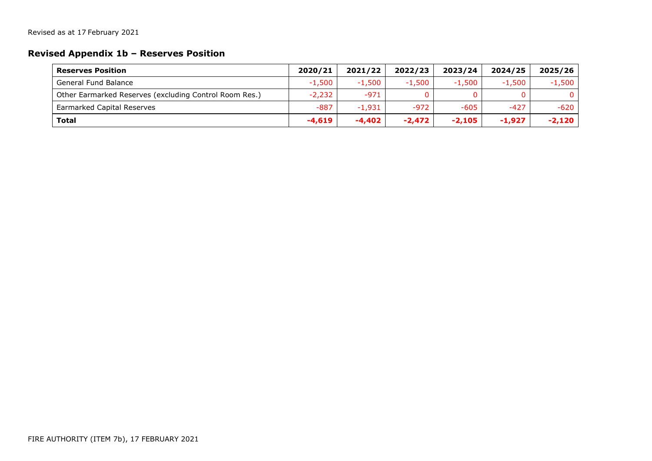## **Revised Appendix 1b – Reserves Position**

| <b>Reserves Position</b>                               | 2020/21  | 2021/22  | 2022/23  | 2023/24  | 2024/25  | 2025/26  |
|--------------------------------------------------------|----------|----------|----------|----------|----------|----------|
| <b>General Fund Balance</b>                            | $-1,500$ | $-1,500$ | $-1,500$ | $-1.500$ | $-1.500$ | $-1,500$ |
| Other Earmarked Reserves (excluding Control Room Res.) | $-2,232$ | $-971$   |          | 0        |          | 0        |
| <b>Earmarked Capital Reserves</b>                      | $-887$   | $-1.931$ | $-972$   | $-605$   | $-427$   | -620     |
| <b>Total</b>                                           | $-4.619$ | $-4.402$ | $-2.472$ | $-2.105$ | $-1.927$ | $-2,120$ |